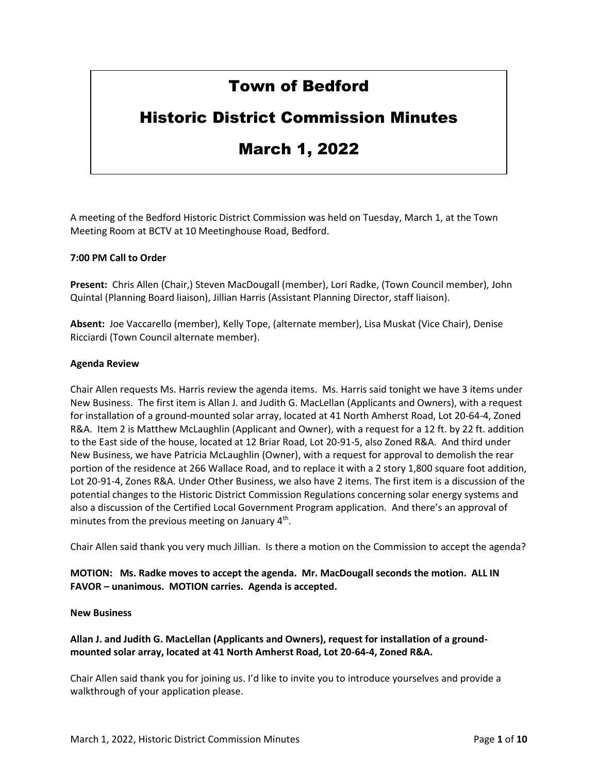# Town of Bedford

# Historic District Commission Minutes

# March 1, 2022

Minutes

A meeting of the Bedford Historic District Commission was held on Tuesday, March 1, at the Town Meeting Room at BCTV at 10 Meetinghouse Road, Bedford.

## **7:00 PM Call to Order**

**Present:** Chris Allen (Chair,) Steven MacDougall (member), Lori Radke, (Town Council member), John Quintal (Planning Board liaison), Jillian Harris (Assistant Planning Director, staff liaison).

**Absent:** Joe Vaccarello (member), Kelly Tope, (alternate member), Lisa Muskat (Vice Chair), Denise Ricciardi (Town Council alternate member).

#### **Agenda Review**

Chair Allen requests Ms. Harris review the agenda items. Ms. Harris said tonight we have 3 items under New Business. The first item is Allan J. and Judith G. MacLellan (Applicants and Owners), with a request for installation of a ground-mounted solar array, located at 41 North Amherst Road, Lot 20-64-4, Zoned R&A. Item 2 is Matthew McLaughlin (Applicant and Owner), with a request for a 12 ft. by 22 ft. addition to the East side of the house, located at 12 Briar Road, Lot 20-91-5, also Zoned R&A. And third under New Business, we have Patricia McLaughlin (Owner), with a request for approval to demolish the rear portion of the residence at 266 Wallace Road, and to replace it with a 2 story 1,800 square foot addition, Lot 20-91-4, Zones R&A. Under Other Business, we also have 2 items. The first item is a discussion of the potential changes to the Historic District Commission Regulations concerning solar energy systems and also a discussion of the Certified Local Government Program application. And there's an approval of minutes from the previous meeting on January 4<sup>th</sup>.

Chair Allen said thank you very much Jillian. Is there a motion on the Commission to accept the agenda?

## **MOTION: Ms. Radke moves to accept the agenda. Mr. MacDougall seconds the motion. ALL IN FAVOR – unanimous. MOTION carries. Agenda is accepted.**

#### **New Business**

**Allan J. and Judith G. MacLellan (Applicants and Owners), request for installation of a groundmounted solar array, located at 41 North Amherst Road, Lot 20-64-4, Zoned R&A.** 

Chair Allen said thank you for joining us. I'd like to invite you to introduce yourselves and provide a walkthrough of your application please.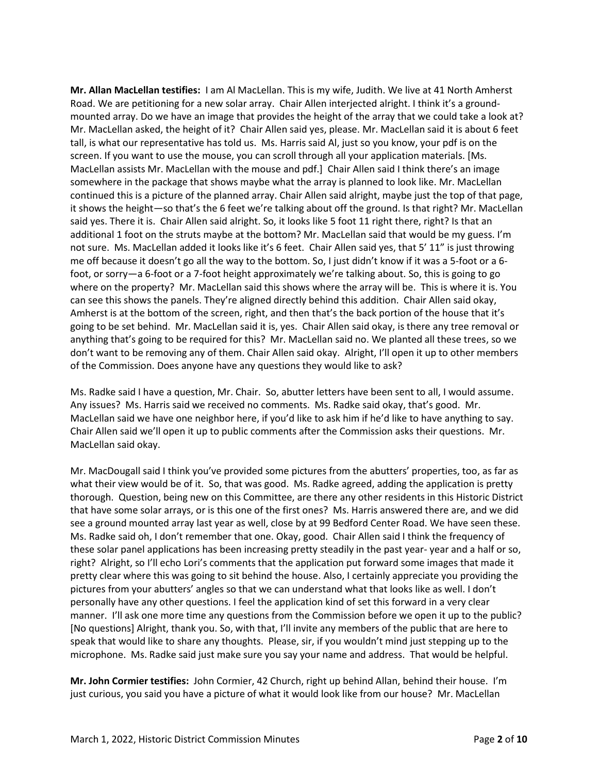**Mr. Allan MacLellan testifies:** I am Al MacLellan. This is my wife, Judith. We live at 41 North Amherst Road. We are petitioning for a new solar array. Chair Allen interjected alright. I think it's a groundmounted array. Do we have an image that provides the height of the array that we could take a look at? Mr. MacLellan asked, the height of it? Chair Allen said yes, please. Mr. MacLellan said it is about 6 feet tall, is what our representative has told us. Ms. Harris said Al, just so you know, your pdf is on the screen. If you want to use the mouse, you can scroll through all your application materials. [Ms. MacLellan assists Mr. MacLellan with the mouse and pdf.] Chair Allen said I think there's an image somewhere in the package that shows maybe what the array is planned to look like. Mr. MacLellan continued this is a picture of the planned array. Chair Allen said alright, maybe just the top of that page, it shows the height—so that's the 6 feet we're talking about off the ground. Is that right? Mr. MacLellan said yes. There it is. Chair Allen said alright. So, it looks like 5 foot 11 right there, right? Is that an additional 1 foot on the struts maybe at the bottom? Mr. MacLellan said that would be my guess. I'm not sure. Ms. MacLellan added it looks like it's 6 feet. Chair Allen said yes, that 5' 11" is just throwing me off because it doesn't go all the way to the bottom. So, I just didn't know if it was a 5-foot or a 6 foot, or sorry—a 6-foot or a 7-foot height approximately we're talking about. So, this is going to go where on the property? Mr. MacLellan said this shows where the array will be. This is where it is. You can see this shows the panels. They're aligned directly behind this addition. Chair Allen said okay, Amherst is at the bottom of the screen, right, and then that's the back portion of the house that it's going to be set behind. Mr. MacLellan said it is, yes. Chair Allen said okay, is there any tree removal or anything that's going to be required for this? Mr. MacLellan said no. We planted all these trees, so we don't want to be removing any of them. Chair Allen said okay. Alright, I'll open it up to other members of the Commission. Does anyone have any questions they would like to ask?

Ms. Radke said I have a question, Mr. Chair. So, abutter letters have been sent to all, I would assume. Any issues? Ms. Harris said we received no comments. Ms. Radke said okay, that's good. Mr. MacLellan said we have one neighbor here, if you'd like to ask him if he'd like to have anything to say. Chair Allen said we'll open it up to public comments after the Commission asks their questions. Mr. MacLellan said okay.

Mr. MacDougall said I think you've provided some pictures from the abutters' properties, too, as far as what their view would be of it. So, that was good. Ms. Radke agreed, adding the application is pretty thorough. Question, being new on this Committee, are there any other residents in this Historic District that have some solar arrays, or is this one of the first ones? Ms. Harris answered there are, and we did see a ground mounted array last year as well, close by at 99 Bedford Center Road. We have seen these. Ms. Radke said oh, I don't remember that one. Okay, good. Chair Allen said I think the frequency of these solar panel applications has been increasing pretty steadily in the past year- year and a half or so, right? Alright, so I'll echo Lori's comments that the application put forward some images that made it pretty clear where this was going to sit behind the house. Also, I certainly appreciate you providing the pictures from your abutters' angles so that we can understand what that looks like as well. I don't personally have any other questions. I feel the application kind of set this forward in a very clear manner. I'll ask one more time any questions from the Commission before we open it up to the public? [No questions] Alright, thank you. So, with that, I'll invite any members of the public that are here to speak that would like to share any thoughts. Please, sir, if you wouldn't mind just stepping up to the microphone. Ms. Radke said just make sure you say your name and address. That would be helpful.

**Mr. John Cormier testifies:** John Cormier, 42 Church, right up behind Allan, behind their house. I'm just curious, you said you have a picture of what it would look like from our house? Mr. MacLellan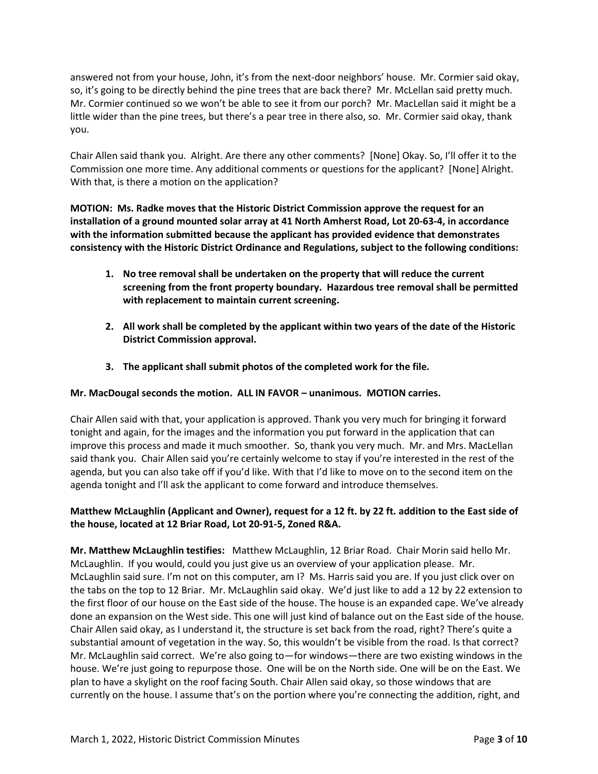answered not from your house, John, it's from the next-door neighbors' house. Mr. Cormier said okay, so, it's going to be directly behind the pine trees that are back there? Mr. McLellan said pretty much. Mr. Cormier continued so we won't be able to see it from our porch? Mr. MacLellan said it might be a little wider than the pine trees, but there's a pear tree in there also, so. Mr. Cormier said okay, thank you.

Chair Allen said thank you. Alright. Are there any other comments? [None] Okay. So, I'll offer it to the Commission one more time. Any additional comments or questions for the applicant? [None] Alright. With that, is there a motion on the application?

**MOTION: Ms. Radke moves that the Historic District Commission approve the request for an installation of a ground mounted solar array at 41 North Amherst Road, Lot 20-63-4, in accordance with the information submitted because the applicant has provided evidence that demonstrates consistency with the Historic District Ordinance and Regulations, subject to the following conditions:**

- **1. No tree removal shall be undertaken on the property that will reduce the current screening from the front property boundary. Hazardous tree removal shall be permitted with replacement to maintain current screening.**
- **2. All work shall be completed by the applicant within two years of the date of the Historic District Commission approval.**
- **3. The applicant shall submit photos of the completed work for the file.**

#### **Mr. MacDougal seconds the motion. ALL IN FAVOR – unanimous. MOTION carries.**

Chair Allen said with that, your application is approved. Thank you very much for bringing it forward tonight and again, for the images and the information you put forward in the application that can improve this process and made it much smoother. So, thank you very much. Mr. and Mrs. MacLellan said thank you. Chair Allen said you're certainly welcome to stay if you're interested in the rest of the agenda, but you can also take off if you'd like. With that I'd like to move on to the second item on the agenda tonight and I'll ask the applicant to come forward and introduce themselves.

## **Matthew McLaughlin (Applicant and Owner), request for a 12 ft. by 22 ft. addition to the East side of the house, located at 12 Briar Road, Lot 20-91-5, Zoned R&A.**

**Mr. Matthew McLaughlin testifies:** Matthew McLaughlin, 12 Briar Road. Chair Morin said hello Mr. McLaughlin. If you would, could you just give us an overview of your application please. Mr. McLaughlin said sure. I'm not on this computer, am I? Ms. Harris said you are. If you just click over on the tabs on the top to 12 Briar. Mr. McLaughlin said okay. We'd just like to add a 12 by 22 extension to the first floor of our house on the East side of the house. The house is an expanded cape. We've already done an expansion on the West side. This one will just kind of balance out on the East side of the house. Chair Allen said okay, as I understand it, the structure is set back from the road, right? There's quite a substantial amount of vegetation in the way. So, this wouldn't be visible from the road. Is that correct? Mr. McLaughlin said correct. We're also going to—for windows—there are two existing windows in the house. We're just going to repurpose those. One will be on the North side. One will be on the East. We plan to have a skylight on the roof facing South. Chair Allen said okay, so those windows that are currently on the house. I assume that's on the portion where you're connecting the addition, right, and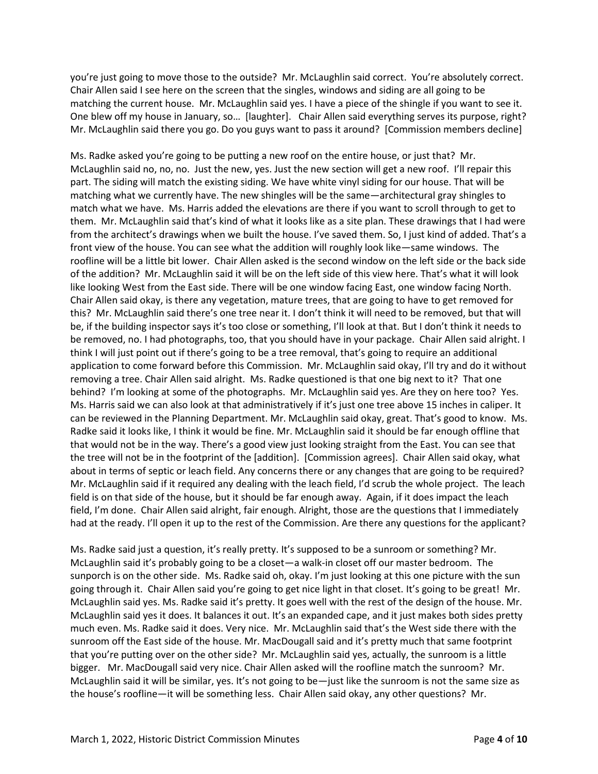you're just going to move those to the outside? Mr. McLaughlin said correct. You're absolutely correct. Chair Allen said I see here on the screen that the singles, windows and siding are all going to be matching the current house. Mr. McLaughlin said yes. I have a piece of the shingle if you want to see it. One blew off my house in January, so… [laughter]. Chair Allen said everything serves its purpose, right? Mr. McLaughlin said there you go. Do you guys want to pass it around? [Commission members decline]

Ms. Radke asked you're going to be putting a new roof on the entire house, or just that? Mr. McLaughlin said no, no, no. Just the new, yes. Just the new section will get a new roof. I'll repair this part. The siding will match the existing siding. We have white vinyl siding for our house. That will be matching what we currently have. The new shingles will be the same—architectural gray shingles to match what we have. Ms. Harris added the elevations are there if you want to scroll through to get to them. Mr. McLaughlin said that's kind of what it looks like as a site plan. These drawings that I had were from the architect's drawings when we built the house. I've saved them. So, I just kind of added. That's a front view of the house. You can see what the addition will roughly look like—same windows. The roofline will be a little bit lower. Chair Allen asked is the second window on the left side or the back side of the addition? Mr. McLaughlin said it will be on the left side of this view here. That's what it will look like looking West from the East side. There will be one window facing East, one window facing North. Chair Allen said okay, is there any vegetation, mature trees, that are going to have to get removed for this? Mr. McLaughlin said there's one tree near it. I don't think it will need to be removed, but that will be, if the building inspector says it's too close or something, I'll look at that. But I don't think it needs to be removed, no. I had photographs, too, that you should have in your package. Chair Allen said alright. I think I will just point out if there's going to be a tree removal, that's going to require an additional application to come forward before this Commission. Mr. McLaughlin said okay, I'll try and do it without removing a tree. Chair Allen said alright. Ms. Radke questioned is that one big next to it? That one behind? I'm looking at some of the photographs. Mr. McLaughlin said yes. Are they on here too? Yes. Ms. Harris said we can also look at that administratively if it's just one tree above 15 inches in caliper. It can be reviewed in the Planning Department. Mr. McLaughlin said okay, great. That's good to know. Ms. Radke said it looks like, I think it would be fine. Mr. McLaughlin said it should be far enough offline that that would not be in the way. There's a good view just looking straight from the East. You can see that the tree will not be in the footprint of the [addition]. [Commission agrees]. Chair Allen said okay, what about in terms of septic or leach field. Any concerns there or any changes that are going to be required? Mr. McLaughlin said if it required any dealing with the leach field, I'd scrub the whole project. The leach field is on that side of the house, but it should be far enough away. Again, if it does impact the leach field, I'm done. Chair Allen said alright, fair enough. Alright, those are the questions that I immediately had at the ready. I'll open it up to the rest of the Commission. Are there any questions for the applicant?

Ms. Radke said just a question, it's really pretty. It's supposed to be a sunroom or something? Mr. McLaughlin said it's probably going to be a closet—a walk-in closet off our master bedroom. The sunporch is on the other side. Ms. Radke said oh, okay. I'm just looking at this one picture with the sun going through it. Chair Allen said you're going to get nice light in that closet. It's going to be great! Mr. McLaughlin said yes. Ms. Radke said it's pretty. It goes well with the rest of the design of the house. Mr. McLaughlin said yes it does. It balances it out. It's an expanded cape, and it just makes both sides pretty much even. Ms. Radke said it does. Very nice. Mr. McLaughlin said that's the West side there with the sunroom off the East side of the house. Mr. MacDougall said and it's pretty much that same footprint that you're putting over on the other side? Mr. McLaughlin said yes, actually, the sunroom is a little bigger. Mr. MacDougall said very nice. Chair Allen asked will the roofline match the sunroom? Mr. McLaughlin said it will be similar, yes. It's not going to be—just like the sunroom is not the same size as the house's roofline—it will be something less. Chair Allen said okay, any other questions? Mr.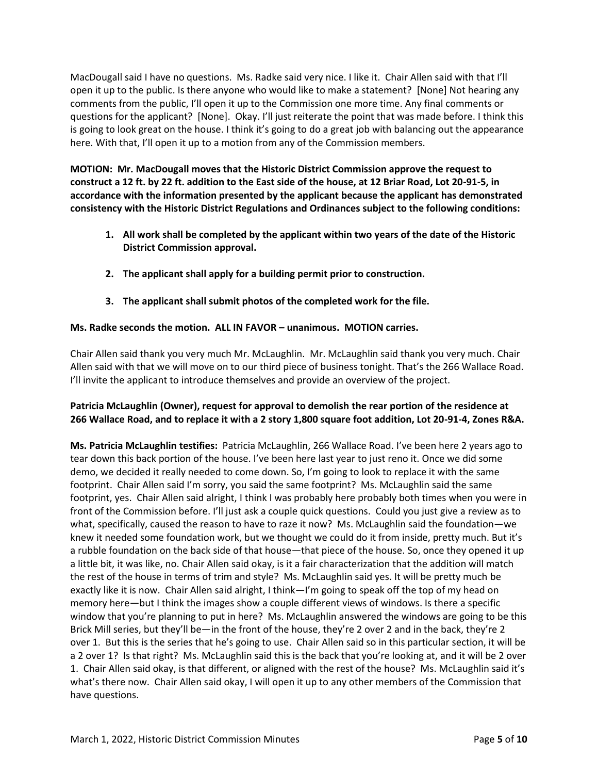MacDougall said I have no questions. Ms. Radke said very nice. I like it. Chair Allen said with that I'll open it up to the public. Is there anyone who would like to make a statement? [None] Not hearing any comments from the public, I'll open it up to the Commission one more time. Any final comments or questions for the applicant? [None]. Okay. I'll just reiterate the point that was made before. I think this is going to look great on the house. I think it's going to do a great job with balancing out the appearance here. With that, I'll open it up to a motion from any of the Commission members.

**MOTION: Mr. MacDougall moves that the Historic District Commission approve the request to construct a 12 ft. by 22 ft. addition to the East side of the house, at 12 Briar Road, Lot 20-91-5, in accordance with the information presented by the applicant because the applicant has demonstrated consistency with the Historic District Regulations and Ordinances subject to the following conditions:**

- **1. All work shall be completed by the applicant within two years of the date of the Historic District Commission approval.**
- **2. The applicant shall apply for a building permit prior to construction.**
- **3. The applicant shall submit photos of the completed work for the file.**

# **Ms. Radke seconds the motion. ALL IN FAVOR – unanimous. MOTION carries.**

Chair Allen said thank you very much Mr. McLaughlin. Mr. McLaughlin said thank you very much. Chair Allen said with that we will move on to our third piece of business tonight. That's the 266 Wallace Road. I'll invite the applicant to introduce themselves and provide an overview of the project.

## **Patricia McLaughlin (Owner), request for approval to demolish the rear portion of the residence at 266 Wallace Road, and to replace it with a 2 story 1,800 square foot addition, Lot 20-91-4, Zones R&A.**

**Ms. Patricia McLaughlin testifies:** Patricia McLaughlin, 266 Wallace Road. I've been here 2 years ago to tear down this back portion of the house. I've been here last year to just reno it. Once we did some demo, we decided it really needed to come down. So, I'm going to look to replace it with the same footprint. Chair Allen said I'm sorry, you said the same footprint? Ms. McLaughlin said the same footprint, yes. Chair Allen said alright, I think I was probably here probably both times when you were in front of the Commission before. I'll just ask a couple quick questions. Could you just give a review as to what, specifically, caused the reason to have to raze it now? Ms. McLaughlin said the foundation—we knew it needed some foundation work, but we thought we could do it from inside, pretty much. But it's a rubble foundation on the back side of that house—that piece of the house. So, once they opened it up a little bit, it was like, no. Chair Allen said okay, is it a fair characterization that the addition will match the rest of the house in terms of trim and style? Ms. McLaughlin said yes. It will be pretty much be exactly like it is now. Chair Allen said alright, I think—I'm going to speak off the top of my head on memory here—but I think the images show a couple different views of windows. Is there a specific window that you're planning to put in here? Ms. McLaughlin answered the windows are going to be this Brick Mill series, but they'll be—in the front of the house, they're 2 over 2 and in the back, they're 2 over 1. But this is the series that he's going to use. Chair Allen said so in this particular section, it will be a 2 over 1? Is that right? Ms. McLaughlin said this is the back that you're looking at, and it will be 2 over 1. Chair Allen said okay, is that different, or aligned with the rest of the house? Ms. McLaughlin said it's what's there now. Chair Allen said okay, I will open it up to any other members of the Commission that have questions.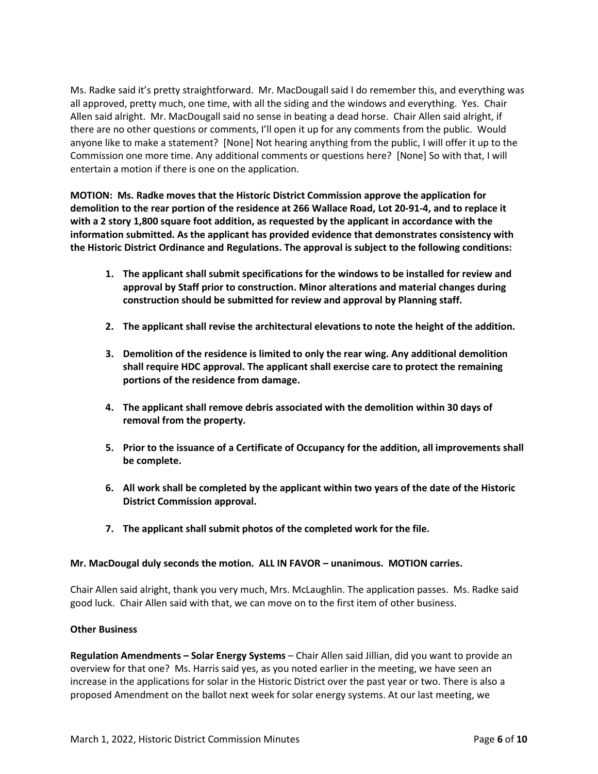Ms. Radke said it's pretty straightforward. Mr. MacDougall said I do remember this, and everything was all approved, pretty much, one time, with all the siding and the windows and everything. Yes. Chair Allen said alright. Mr. MacDougall said no sense in beating a dead horse. Chair Allen said alright, if there are no other questions or comments, I'll open it up for any comments from the public. Would anyone like to make a statement? [None] Not hearing anything from the public, I will offer it up to the Commission one more time. Any additional comments or questions here? [None] So with that, I will entertain a motion if there is one on the application.

**MOTION: Ms. Radke moves that the Historic District Commission approve the application for demolition to the rear portion of the residence at 266 Wallace Road, Lot 20-91-4, and to replace it with a 2 story 1,800 square foot addition, as requested by the applicant in accordance with the information submitted. As the applicant has provided evidence that demonstrates consistency with the Historic District Ordinance and Regulations. The approval is subject to the following conditions:**

- **1. The applicant shall submit specifications for the windows to be installed for review and approval by Staff prior to construction. Minor alterations and material changes during construction should be submitted for review and approval by Planning staff.**
- **2. The applicant shall revise the architectural elevations to note the height of the addition.**
- **3. Demolition of the residence is limited to only the rear wing. Any additional demolition shall require HDC approval. The applicant shall exercise care to protect the remaining portions of the residence from damage.**
- **4. The applicant shall remove debris associated with the demolition within 30 days of removal from the property.**
- **5. Prior to the issuance of a Certificate of Occupancy for the addition, all improvements shall be complete.**
- **6. All work shall be completed by the applicant within two years of the date of the Historic District Commission approval.**
- **7. The applicant shall submit photos of the completed work for the file.**

#### **Mr. MacDougal duly seconds the motion. ALL IN FAVOR – unanimous. MOTION carries.**

Chair Allen said alright, thank you very much, Mrs. McLaughlin. The application passes. Ms. Radke said good luck. Chair Allen said with that, we can move on to the first item of other business.

#### **Other Business**

**Regulation Amendments – Solar Energy Systems** – Chair Allen said Jillian, did you want to provide an overview for that one? Ms. Harris said yes, as you noted earlier in the meeting, we have seen an increase in the applications for solar in the Historic District over the past year or two. There is also a proposed Amendment on the ballot next week for solar energy systems. At our last meeting, we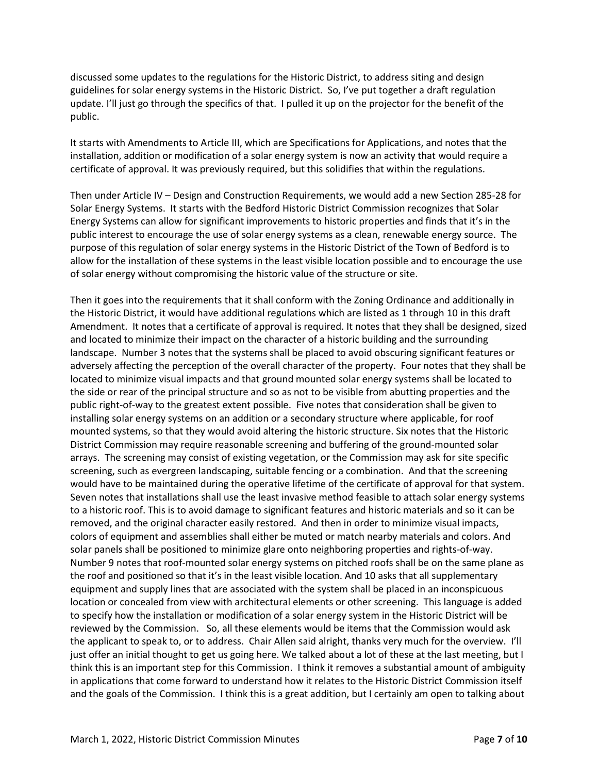discussed some updates to the regulations for the Historic District, to address siting and design guidelines for solar energy systems in the Historic District. So, I've put together a draft regulation update. I'll just go through the specifics of that. I pulled it up on the projector for the benefit of the public.

It starts with Amendments to Article III, which are Specifications for Applications, and notes that the installation, addition or modification of a solar energy system is now an activity that would require a certificate of approval. It was previously required, but this solidifies that within the regulations.

Then under Article IV – Design and Construction Requirements, we would add a new Section 285-28 for Solar Energy Systems. It starts with the Bedford Historic District Commission recognizes that Solar Energy Systems can allow for significant improvements to historic properties and finds that it's in the public interest to encourage the use of solar energy systems as a clean, renewable energy source. The purpose of this regulation of solar energy systems in the Historic District of the Town of Bedford is to allow for the installation of these systems in the least visible location possible and to encourage the use of solar energy without compromising the historic value of the structure or site.

Then it goes into the requirements that it shall conform with the Zoning Ordinance and additionally in the Historic District, it would have additional regulations which are listed as 1 through 10 in this draft Amendment. It notes that a certificate of approval is required. It notes that they shall be designed, sized and located to minimize their impact on the character of a historic building and the surrounding landscape. Number 3 notes that the systems shall be placed to avoid obscuring significant features or adversely affecting the perception of the overall character of the property. Four notes that they shall be located to minimize visual impacts and that ground mounted solar energy systems shall be located to the side or rear of the principal structure and so as not to be visible from abutting properties and the public right-of-way to the greatest extent possible. Five notes that consideration shall be given to installing solar energy systems on an addition or a secondary structure where applicable, for roof mounted systems, so that they would avoid altering the historic structure. Six notes that the Historic District Commission may require reasonable screening and buffering of the ground-mounted solar arrays. The screening may consist of existing vegetation, or the Commission may ask for site specific screening, such as evergreen landscaping, suitable fencing or a combination. And that the screening would have to be maintained during the operative lifetime of the certificate of approval for that system. Seven notes that installations shall use the least invasive method feasible to attach solar energy systems to a historic roof. This is to avoid damage to significant features and historic materials and so it can be removed, and the original character easily restored. And then in order to minimize visual impacts, colors of equipment and assemblies shall either be muted or match nearby materials and colors. And solar panels shall be positioned to minimize glare onto neighboring properties and rights-of-way. Number 9 notes that roof-mounted solar energy systems on pitched roofs shall be on the same plane as the roof and positioned so that it's in the least visible location. And 10 asks that all supplementary equipment and supply lines that are associated with the system shall be placed in an inconspicuous location or concealed from view with architectural elements or other screening. This language is added to specify how the installation or modification of a solar energy system in the Historic District will be reviewed by the Commission. So, all these elements would be items that the Commission would ask the applicant to speak to, or to address. Chair Allen said alright, thanks very much for the overview. I'll just offer an initial thought to get us going here. We talked about a lot of these at the last meeting, but I think this is an important step for this Commission. I think it removes a substantial amount of ambiguity in applications that come forward to understand how it relates to the Historic District Commission itself and the goals of the Commission. I think this is a great addition, but I certainly am open to talking about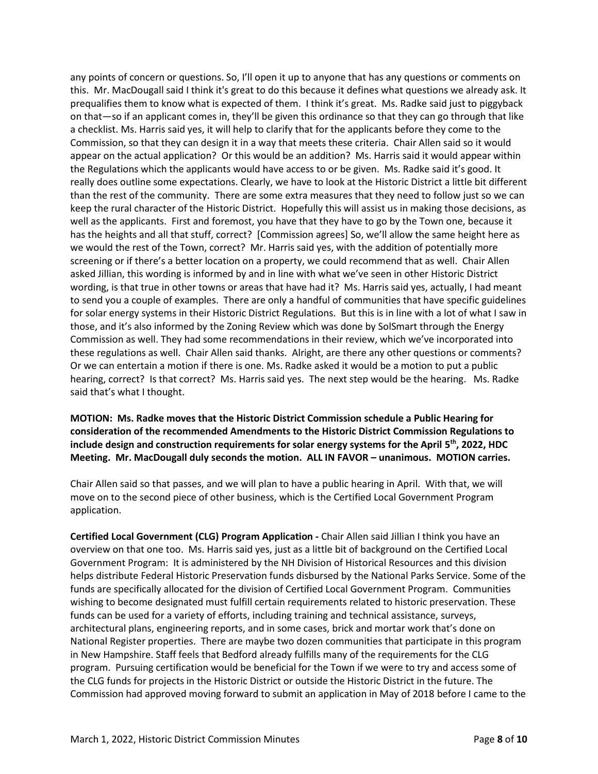any points of concern or questions. So, I'll open it up to anyone that has any questions or comments on this. Mr. MacDougall said I think it's great to do this because it defines what questions we already ask. It prequalifies them to know what is expected of them. I think it's great. Ms. Radke said just to piggyback on that—so if an applicant comes in, they'll be given this ordinance so that they can go through that like a checklist. Ms. Harris said yes, it will help to clarify that for the applicants before they come to the Commission, so that they can design it in a way that meets these criteria. Chair Allen said so it would appear on the actual application? Or this would be an addition? Ms. Harris said it would appear within the Regulations which the applicants would have access to or be given. Ms. Radke said it's good. It really does outline some expectations. Clearly, we have to look at the Historic District a little bit different than the rest of the community. There are some extra measures that they need to follow just so we can keep the rural character of the Historic District. Hopefully this will assist us in making those decisions, as well as the applicants. First and foremost, you have that they have to go by the Town one, because it has the heights and all that stuff, correct? [Commission agrees] So, we'll allow the same height here as we would the rest of the Town, correct? Mr. Harris said yes, with the addition of potentially more screening or if there's a better location on a property, we could recommend that as well. Chair Allen asked Jillian, this wording is informed by and in line with what we've seen in other Historic District wording, is that true in other towns or areas that have had it? Ms. Harris said yes, actually, I had meant to send you a couple of examples. There are only a handful of communities that have specific guidelines for solar energy systems in their Historic District Regulations. But this is in line with a lot of what I saw in those, and it's also informed by the Zoning Review which was done by SolSmart through the Energy Commission as well. They had some recommendations in their review, which we've incorporated into these regulations as well. Chair Allen said thanks. Alright, are there any other questions or comments? Or we can entertain a motion if there is one. Ms. Radke asked it would be a motion to put a public hearing, correct? Is that correct? Ms. Harris said yes. The next step would be the hearing. Ms. Radke said that's what I thought.

**MOTION: Ms. Radke moves that the Historic District Commission schedule a Public Hearing for consideration of the recommended Amendments to the Historic District Commission Regulations to include design and construction requirements for solar energy systems for the April 5 th , 2022, HDC Meeting. Mr. MacDougall duly seconds the motion. ALL IN FAVOR – unanimous. MOTION carries.** 

Chair Allen said so that passes, and we will plan to have a public hearing in April. With that, we will move on to the second piece of other business, which is the Certified Local Government Program application.

**Certified Local Government (CLG) Program Application -** Chair Allen said Jillian I think you have an overview on that one too. Ms. Harris said yes, just as a little bit of background on the Certified Local Government Program: It is administered by the NH Division of Historical Resources and this division helps distribute Federal Historic Preservation funds disbursed by the National Parks Service. Some of the funds are specifically allocated for the division of Certified Local Government Program. Communities wishing to become designated must fulfill certain requirements related to historic preservation. These funds can be used for a variety of efforts, including training and technical assistance, surveys, architectural plans, engineering reports, and in some cases, brick and mortar work that's done on National Register properties. There are maybe two dozen communities that participate in this program in New Hampshire. Staff feels that Bedford already fulfills many of the requirements for the CLG program. Pursuing certification would be beneficial for the Town if we were to try and access some of the CLG funds for projects in the Historic District or outside the Historic District in the future. The Commission had approved moving forward to submit an application in May of 2018 before I came to the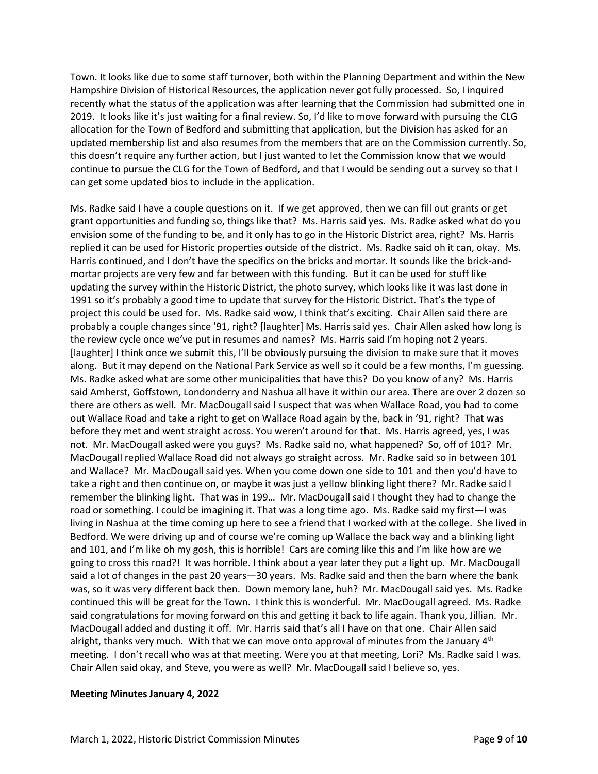Town. It looks like due to some staff turnover, both within the Planning Department and within the New Hampshire Division of Historical Resources, the application never got fully processed. So, I inquired recently what the status of the application was after learning that the Commission had submitted one in 2019. It looks like it's just waiting for a final review. So, I'd like to move forward with pursuing the CLG allocation for the Town of Bedford and submitting that application, but the Division has asked for an updated membership list and also resumes from the members that are on the Commission currently. So, this doesn't require any further action, but I just wanted to let the Commission know that we would continue to pursue the CLG for the Town of Bedford, and that I would be sending out a survey so that I can get some updated bios to include in the application.

Ms. Radke said I have a couple questions on it. If we get approved, then we can fill out grants or get grant opportunities and funding so, things like that? Ms. Harris said yes. Ms. Radke asked what do you envision some of the funding to be, and it only has to go in the Historic District area, right? Ms. Harris replied it can be used for Historic properties outside of the district. Ms. Radke said oh it can, okay. Ms. Harris continued, and I don't have the specifics on the bricks and mortar. It sounds like the brick-andmortar projects are very few and far between with this funding. But it can be used for stuff like updating the survey within the Historic District, the photo survey, which looks like it was last done in 1991 so it's probably a good time to update that survey for the Historic District. That's the type of project this could be used for. Ms. Radke said wow, I think that's exciting. Chair Allen said there are probably a couple changes since '91, right? [laughter] Ms. Harris said yes. Chair Allen asked how long is the review cycle once we've put in resumes and names? Ms. Harris said I'm hoping not 2 years. [laughter] I think once we submit this, I'll be obviously pursuing the division to make sure that it moves along. But it may depend on the National Park Service as well so it could be a few months, I'm guessing. Ms. Radke asked what are some other municipalities that have this? Do you know of any? Ms. Harris said Amherst, Goffstown, Londonderry and Nashua all have it within our area. There are over 2 dozen so there are others as well. Mr. MacDougall said I suspect that was when Wallace Road, you had to come out Wallace Road and take a right to get on Wallace Road again by the, back in '91, right? That was before they met and went straight across. You weren't around for that. Ms. Harris agreed, yes, I was not. Mr. MacDougall asked were you guys? Ms. Radke said no, what happened? So, off of 101? Mr. MacDougall replied Wallace Road did not always go straight across. Mr. Radke said so in between 101 and Wallace? Mr. MacDougall said yes. When you come down one side to 101 and then you'd have to take a right and then continue on, or maybe it was just a yellow blinking light there? Mr. Radke said I remember the blinking light. That was in 199… Mr. MacDougall said I thought they had to change the road or something. I could be imagining it. That was a long time ago. Ms. Radke said my first—I was living in Nashua at the time coming up here to see a friend that I worked with at the college. She lived in Bedford. We were driving up and of course we're coming up Wallace the back way and a blinking light and 101, and I'm like oh my gosh, this is horrible! Cars are coming like this and I'm like how are we going to cross this road?! It was horrible. I think about a year later they put a light up. Mr. MacDougall said a lot of changes in the past 20 years—30 years. Ms. Radke said and then the barn where the bank was, so it was very different back then. Down memory lane, huh? Mr. MacDougall said yes. Ms. Radke continued this will be great for the Town. I think this is wonderful. Mr. MacDougall agreed. Ms. Radke said congratulations for moving forward on this and getting it back to life again. Thank you, Jillian. Mr. MacDougall added and dusting it off. Mr. Harris said that's all I have on that one. Chair Allen said alright, thanks very much. With that we can move onto approval of minutes from the January  $4<sup>th</sup>$ meeting. I don't recall who was at that meeting. Were you at that meeting, Lori? Ms. Radke said I was. Chair Allen said okay, and Steve, you were as well? Mr. MacDougall said I believe so, yes.

#### **Meeting Minutes January 4, 2022**